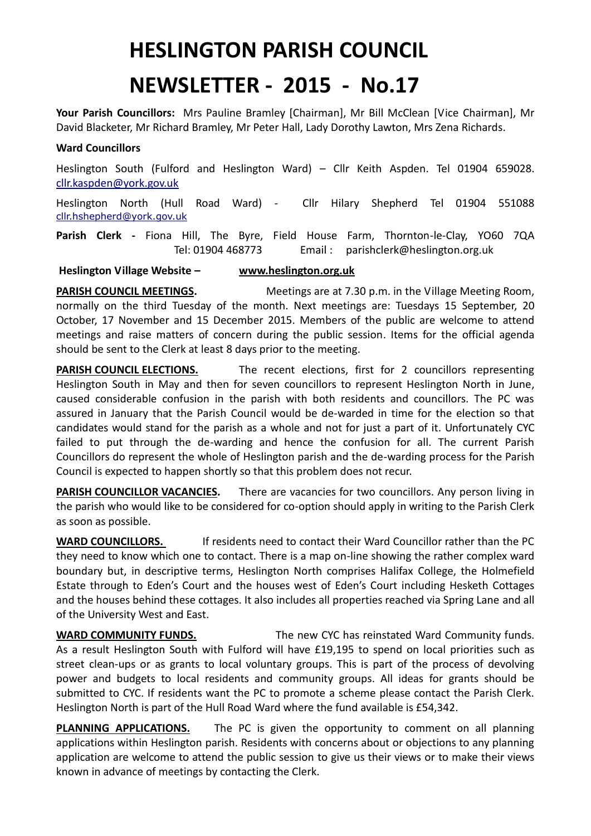## **HESLINGTON PARISH COUNCIL**

# **NEWSLETTER - 2015 - No.17**

**Your Parish Councillors:** Mrs Pauline Bramley [Chairman], Mr Bill McClean [Vice Chairman], Mr David Blacketer, Mr Richard Bramley, Mr Peter Hall, Lady Dorothy Lawton, Mrs Zena Richards.

### **Ward Councillors**

Heslington South (Fulford and Heslington Ward) – Cllr Keith Aspden. Tel 01904 659028. [cllr.kaspden@york.gov.uk](mailto:cllr.kaspden@york.gov.uk)

Heslington North (Hull Road Ward) - Cllr Hilary Shepherd Tel 01904 551088 [cllr.hshepherd@york.gov.uk](mailto:cllr.hshepherd@york.gov.uk)

**Parish Clerk -** Fiona Hill, The Byre, Field House Farm, Thornton-le-Clay, YO60 7QA Tel: 01904 468773 Email : parishclerk@heslington.org.uk

#### **Heslington Village Website – [www.heslington.org.uk](http://www.heslington.org.uk/)**

**PARISH COUNCIL MEETINGS.** Meetings are at 7.30 p.m. in the Village Meeting Room, normally on the third Tuesday of the month. Next meetings are: Tuesdays 15 September, 20 October, 17 November and 15 December 2015. Members of the public are welcome to attend meetings and raise matters of concern during the public session. Items for the official agenda should be sent to the Clerk at least 8 days prior to the meeting.

**PARISH COUNCIL ELECTIONS.** The recent elections, first for 2 councillors representing Heslington South in May and then for seven councillors to represent Heslington North in June, caused considerable confusion in the parish with both residents and councillors. The PC was assured in January that the Parish Council would be de-warded in time for the election so that candidates would stand for the parish as a whole and not for just a part of it. Unfortunately CYC failed to put through the de-warding and hence the confusion for all. The current Parish Councillors do represent the whole of Heslington parish and the de-warding process for the Parish Council is expected to happen shortly so that this problem does not recur.

**PARISH COUNCILLOR VACANCIES.** There are vacancies for two councillors. Any person living in the parish who would like to be considered for co-option should apply in writing to the Parish Clerk as soon as possible.

**WARD COUNCILLORS.** If residents need to contact their Ward Councillor rather than the PC they need to know which one to contact. There is a map on-line showing the rather complex ward boundary but, in descriptive terms, Heslington North comprises Halifax College, the Holmefield Estate through to Eden's Court and the houses west of Eden's Court including Hesketh Cottages and the houses behind these cottages. It also includes all properties reached via Spring Lane and all of the University West and East.

**WARD COMMUNITY FUNDS.** The new CYC has reinstated Ward Community funds. As a result Heslington South with Fulford will have £19,195 to spend on local priorities such as street clean-ups or as grants to local voluntary groups. This is part of the process of devolving power and budgets to local residents and community groups. All ideas for grants should be submitted to CYC. If residents want the PC to promote a scheme please contact the Parish Clerk. Heslington North is part of the Hull Road Ward where the fund available is £54,342.

**PLANNING APPLICATIONS.** The PC is given the opportunity to comment on all planning applications within Heslington parish. Residents with concerns about or objections to any planning application are welcome to attend the public session to give us their views or to make their views known in advance of meetings by contacting the Clerk.